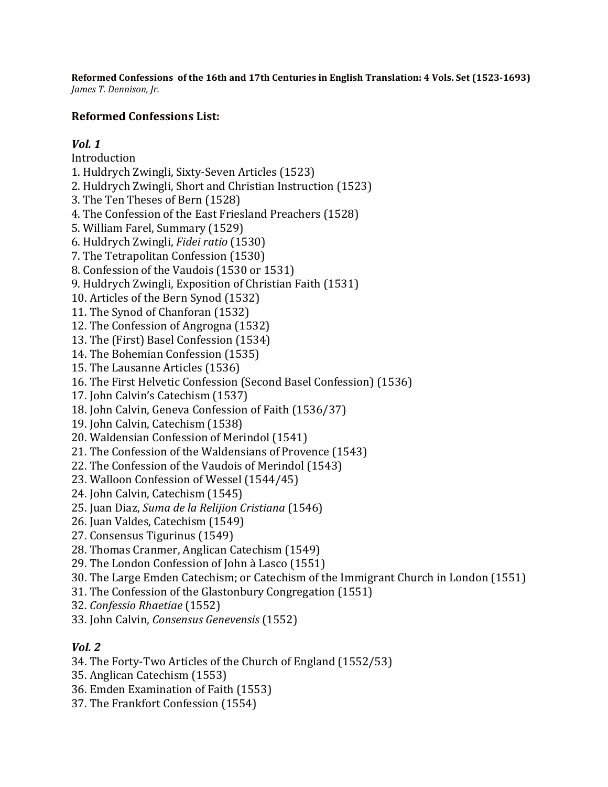**Reformed Confessions of the 16th and 17th Centuries in English Translation: 4 Vols. Set (1523-1693)** *James T. Dennison, Jr.*

## **Reformed Confessions List:**

## *Vol. 1*

Introduction

- 1. Huldrych Zwingli, Sixty-Seven Articles (1523)
- 2. Huldrych Zwingli, Short and Christian Instruction (1523)
- 3. The Ten Theses of Bern (1528)
- 4. The Confession of the East Friesland Preachers (1528)
- 5. William Farel, Summary (1529)
- 6. Huldrych Zwingli, *Fidei ratio* (1530)
- 7. The Tetrapolitan Confession (1530)
- 8. Confession of the Vaudois (1530 or 1531)
- 9. Huldrych Zwingli, Exposition of Christian Faith (1531)
- 10. Articles of the Bern Synod (1532)
- 11. The Synod of Chanforan (1532)
- 12. The Confession of Angrogna (1532)
- 13. The (First) Basel Confession (1534)
- 14. The Bohemian Confession (1535)
- 15. The Lausanne Articles (1536)
- 16. The First Helvetic Confession (Second Basel Confession) (1536)
- 17. John Calvin's Catechism (1537)
- 18. John Calvin, Geneva Confession of Faith (1536/37)
- 19. John Calvin, Catechism (1538)
- 20. Waldensian Confession of Merindol (1541)
- 21. The Confession of the Waldensians of Provence (1543)
- 22. The Confession of the Vaudois of Merindol (1543)
- 23. Walloon Confession of Wessel (1544/45)
- 24. John Calvin, Catechism (1545)
- 25. Juan Diaz, *Suma de la Relijion Cristiana* (1546)
- 26. Juan Valdes, Catechism (1549)
- 27. Consensus Tigurinus (1549)
- 28. Thomas Cranmer, Anglican Catechism (1549)
- 29. The London Confession of John à Lasco (1551)
- 30. The Large Emden Catechism; or Catechism of the Immigrant Church in London (1551)
- 31. The Confession of the Glastonbury Congregation (1551)
- 32. *Confessio Rhaetiae* (1552)
- 33. John Calvin, *Consensus Genevensis* (1552)

## *Vol. 2*

- 34. The Forty-Two Articles of the Church of England (1552/53)
- 35. Anglican Catechism (1553)
- 36. Emden Examination of Faith (1553)
- 37. The Frankfort Confession (1554)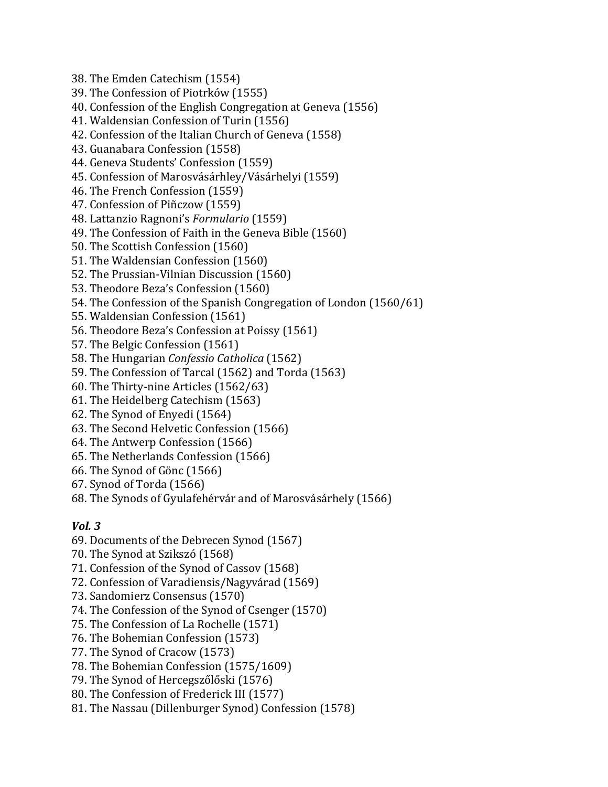38. The Emden Catechism (1554) 39. The Confession of Piotrków (1555) 40. Confession of the English Congregation at Geneva (1556) 41. Waldensian Confession of Turin (1556) 42. Confession of the Italian Church of Geneva (1558) 43. Guanabara Confession (1558) 44. Geneva Students' Confession (1559) 45. Confession of Marosvásárhley/Vásárhelyi (1559) 46. The French Confession (1559) 47. Confession of Piñczow (1559) 48. Lattanzio Ragnoni's *Formulario* (1559) 49. The Confession of Faith in the Geneva Bible (1560) 50. The Scottish Confession (1560) 51. The Waldensian Confession (1560) 52. The Prussian-Vilnian Discussion (1560) 53. Theodore Beza's Confession (1560) 54. The Confession of the Spanish Congregation of London (1560/61) 55. Waldensian Confession (1561) 56. Theodore Beza's Confession at Poissy (1561) 57. The Belgic Confession (1561) 58. The Hungarian *Confessio Catholica* (1562) 59. The Confession of Tarcal (1562) and Torda (1563) 60. The Thirty-nine Articles (1562/63) 61. The Heidelberg Catechism (1563) 62. The Synod of Enyedi (1564) 63. The Second Helvetic Confession (1566) 64. The Antwerp Confession (1566) 65. The Netherlands Confession (1566) 66. The Synod of Gönc (1566)

- 67. Synod of Torda (1566)
- 68. The Synods of Gyulafehérvár and of Marosvásárhely (1566)

## *Vol. 3*

- 69. Documents of the Debrecen Synod (1567)
- 70. The Synod at Szikszó (1568)
- 71. Confession of the Synod of Cassov (1568)
- 72. Confession of Varadiensis/Nagyvárad (1569)
- 73. Sandomierz Consensus (1570)
- 74. The Confession of the Synod of Csenger (1570)
- 75. The Confession of La Rochelle (1571)
- 76. The Bohemian Confession (1573)
- 77. The Synod of Cracow (1573)
- 78. The Bohemian Confession (1575/1609)
- 79. The Synod of Hercegszőlőski (1576)
- 80. The Confession of Frederick III (1577)
- 81. The Nassau (Dillenburger Synod) Confession (1578)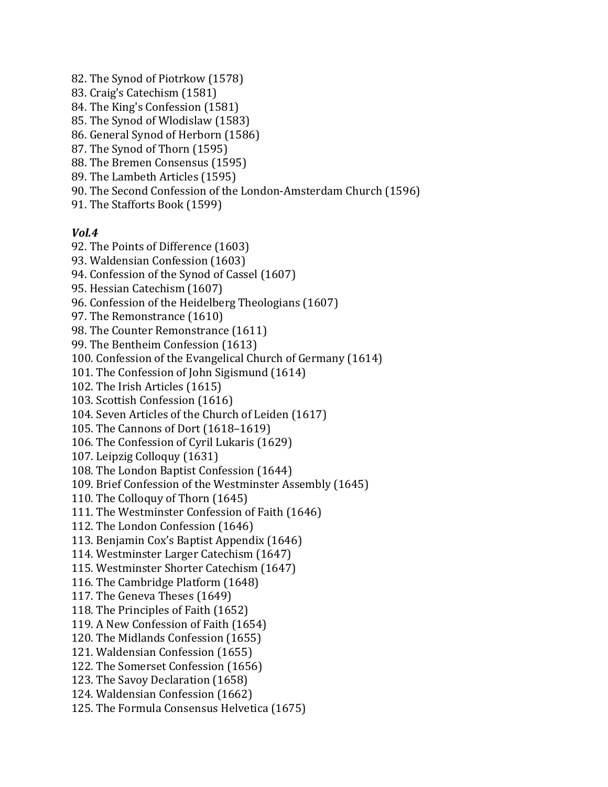82. The Synod of Piotrkow (1578) 83. Craig's Catechism (1581) 84. The King's Confession (1581) 85. The Synod of Wlodislaw (1583) 86. General Synod of Herborn (1586) 87. The Synod of Thorn (1595) 88. The Bremen Consensus (1595) 89. The Lambeth Articles (1595) 90. The Second Confession of the London-Amsterdam Church (1596) 91. The Stafforts Book (1599) *Vol.4* 92. The Points of Difference (1603) 93. Waldensian Confession (1603) 94. Confession of the Synod of Cassel (1607) 95. Hessian Catechism (1607)

96. Confession of the Heidelberg Theologians (1607)

97. The Remonstrance (1610)

98. The Counter Remonstrance (1611)

99. The Bentheim Confession (1613)

100. Confession of the Evangelical Church of Germany (1614)

101. The Confession of John Sigismund (1614)

102. The Irish Articles (1615)

103. Scottish Confession (1616)

104. Seven Articles of the Church of Leiden (1617)

105. The Cannons of Dort (1618–1619)

106. The Confession of Cyril Lukaris (1629)

107. Leipzig Colloquy (1631)

108. The London Baptist Confession (1644)

109. Brief Confession of the Westminster Assembly (1645)

110. The Colloquy of Thorn (1645)

111. The Westminster Confession of Faith (1646)

112. The London Confession (1646)

113. Benjamin Cox's Baptist Appendix (1646)

114. Westminster Larger Catechism (1647)

115. Westminster Shorter Catechism (1647)

116. The Cambridge Platform (1648)

117. The Geneva Theses (1649)

118. The Principles of Faith (1652)

119. A New Confession of Faith (1654)

120. The Midlands Confession (1655)

121. Waldensian Confession (1655)

122. The Somerset Confession (1656)

123. The Savoy Declaration (1658)

124. Waldensian Confession (1662)

125. The Formula Consensus Helvetica (1675)